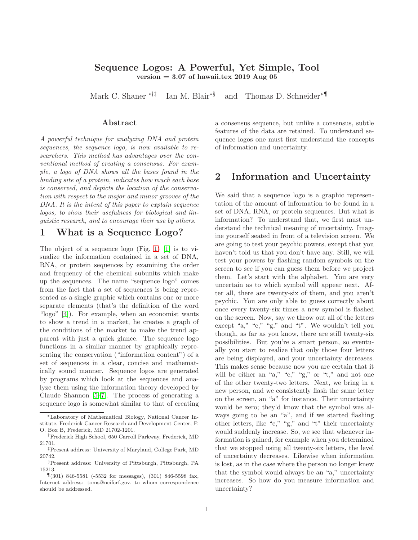### Sequence Logos: A Powerful, Yet Simple, Tool version =  $3.07$  of hawaii.tex 2019 Aug 05

Mark C. Shaner ∗†‡ Ian M. Blair<sup>∗</sup>§ and Thomas D. Schneider<sup>∗</sup>¶

#### Abstract

A powerful technique for analyzing DNA and protein sequences, the sequence logo, is now available to researchers. This method has advantages over the conventional method of creating a consensus. For example, a logo of DNA shows all the bases found in the binding site of a protein, indicates how much each base is conserved, and depicts the location of the conservation with respect to the major and minor grooves of the DNA. It is the intent of this paper to explain sequence logos, to show their usefulness for biological and linguistic research, and to encourage their use by others.

## 1 What is a Sequence Logo?

The object of a sequence logo (Fig. [1\)](#page-1-0) [\[1\]](#page-6-0) is to visualize the information contained in a set of DNA, RNA, or protein sequences by examining the order and frequency of the chemical subunits which make up the sequences. The name "sequence logo" comes from the fact that a set of sequences is being represented as a single graphic which contains one or more separate elements (that's the definition of the word "logo" [\[4\]](#page-7-0)). For example, when an economist wants to show a trend in a market, he creates a graph of the conditions of the market to make the trend apparent with just a quick glance. The sequence logo functions in a similar manner by graphically representing the conservation ("information content") of a set of sequences in a clear, concise and mathematically sound manner. Sequence logos are generated by programs which look at the sequences and analyze them using the information theory developed by Claude Shannon [\[5](#page-7-1)[–7\]](#page-7-2). The process of generating a sequence logo is somewhat similar to that of creating a consensus sequence, but unlike a consensus, subtle features of the data are retained. To understand sequence logos one must first understand the concepts of information and uncertainty.

### 2 Information and Uncertainty

We said that a sequence logo is a graphic representation of the amount of information to be found in a set of DNA, RNA, or protein sequences. But what is information? To understand that, we first must understand the technical meaning of uncertainty. Imagine yourself seated in front of a television screen. We are going to test your psychic powers, except that you haven't told us that you don't have any. Still, we will test your powers by flashing random symbols on the screen to see if you can guess them before we project them. Let's start with the alphabet. You are very uncertain as to which symbol will appear next. After all, there are twenty-six of them, and you aren't psychic. You are only able to guess correctly about once every twenty-six times a new symbol is flashed on the screen. Now, say we throw out all of the letters except "a," "c," "g," and "t". We wouldn't tell you though, as far as you know, there are still twenty-six possibilities. But you're a smart person, so eventually you start to realize that only those four letters are being displayed, and your uncertainty decreases. This makes sense because now you are certain that it will be either an "a," "c," "g," or "t," and not one of the other twenty-two letters. Next, we bring in a new person, and we consistently flash the same letter on the screen, an "a" for instance. Their uncertainty would be zero; they'd know that the symbol was always going to be an "a", and if we started flashing other letters, like "c," "g," and "t" their uncertainty would suddenly increase. So, we see that whenever information is gained, for example when you determined that we stopped using all twenty-six letters, the level of uncertainty decreases. Likewise when information is lost, as in the case where the person no longer knew that the symbol would always be an "a," uncertainty increases. So how do you measure information and uncertainty?

<sup>∗</sup>Laboratory of Mathematical Biology, National Cancer Institute, Frederick Cancer Research and Development Center, P. O. Box B, Frederick, MD 21702-1201.

<sup>†</sup>Frederick High School, 650 Carroll Parkway, Frederick, MD 21701.

<sup>‡</sup>Present address: University of Maryland, College Park, MD 20742.

<sup>§</sup>Present address: University of Pittsburgh, Pittsburgh, PA 15213.

<sup>¶</sup>(301) 846-5581 (-5532 for messages), (301) 846-5598 fax, Internet address: toms@ncifcrf.gov, to whom correspondence should be addressed.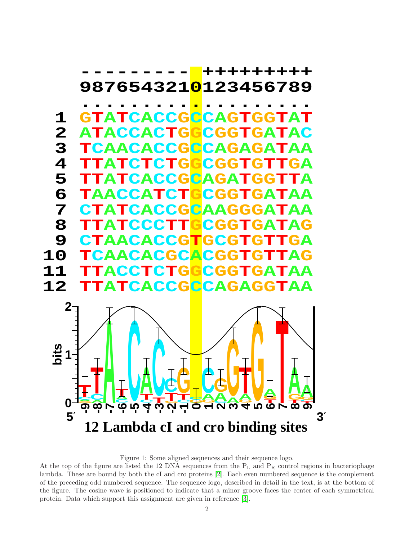

<span id="page-1-0"></span>Figure 1: Some aligned sequences and their sequence logo.

At the top of the figure are listed the 12 DNA sequences from the  $P_L$  and  $P_R$  control regions in bacteriophage lambda. These are bound by both the cI and cro proteins [\[2\]](#page-7-3). Each even numbered sequence is the complement of the preceding odd numbered sequence. The sequence logo, described in detail in the text, is at the bottom of the figure. The cosine wave is positioned to indicate that a minor groove faces the center of each symmetrical protein. Data which support this assignment are given in reference [\[3\]](#page-7-4).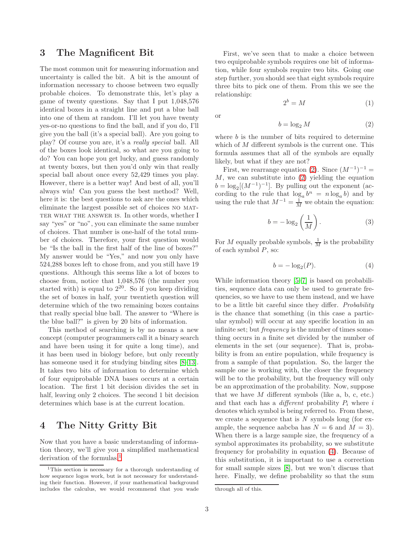### 3 The Magnificent Bit

The most common unit for measuring information and uncertainty is called the bit. A bit is the amount of information necessary to choose between two equally probable choices. To demonstrate this, let's play a game of twenty questions. Say that I put 1,048,576 identical boxes in a straight line and put a blue ball into one of them at random. I'll let you have twenty yes-or-no questions to find the ball, and if you do, I'll give you the ball (it's a special ball). Are you going to play? Of course you are, it's a really special ball. All of the boxes look identical, so what are you going to do? You can hope you get lucky, and guess randomly at twenty boxes, but then you'd only win that really special ball about once every 52,429 times you play. However, there is a better way! And best of all, you'll always win! Can you guess the best method? Well, here it is: the best questions to ask are the ones which eliminate the largest possible set of choices no mat-TER WHAT THE ANSWER IS. In other words, whether I say "yes" or "no", you can eliminate the same number of choices. That number is one-half of the total number of choices. Therefore, your first question would be "Is the ball in the first half of the line of boxes?" My answer would be "Yes," and now you only have 524,288 boxes left to chose from, and you still have 19 questions. Although this seems like a lot of boxes to choose from, notice that 1,048,576 (the number you started with) is equal to  $2^{20}$ . So if you keep dividing the set of boxes in half, your twentieth question will determine which of the two remaining boxes contains that really special blue ball. The answer to "Where is the blue ball?" is given by 20 bits of information.

This method of searching is by no means a new concept (computer programmers call it a binary search and have been using it for quite a long time), and it has been used in biology before, but only recently has someone used it for studying binding sites  $[8-13]$  $[8-13]$ . It takes two bits of information to determine which of four equiprobable DNA bases occurs at a certain location. The first 1 bit decision divides the set in half, leaving only 2 choices. The second 1 bit decision determines which base is at the current location.

## 4 The Nitty Gritty Bit

Now that you have a basic understanding of information theory, we'll give you a simplified mathematical derivation of the formulas.<sup>[1](#page-2-0)</sup>

First, we've seen that to make a choice between two equiprobable symbols requires one bit of information, while four symbols require two bits. Going one step further, you should see that eight symbols require three bits to pick one of them. From this we see the relationship:

$$
2^b = M \tag{1}
$$

or

<span id="page-2-1"></span>
$$
b = \log_2 M \tag{2}
$$

where  $b$  is the number of bits required to determine which of  $M$  different symbols is the current one. This formula assumes that all of the symbols are equally likely, but what if they are not?

First, we rearrange equation [\(2\)](#page-2-1). Since  $(M^{-1})^{-1} =$  $M$ , we can substitute into  $(2)$  yielding the equation  $b = \log_2[(M^{-1})^{-1}]$ . By pulling out the exponent (according to the rule that  $\log_a b^n = n \log_a b$  and by using the rule that  $M^{-1} = \frac{1}{M}$  we obtain the equation:

$$
b = -\log_2\left(\frac{1}{M}\right). \tag{3}
$$

For  $M$  equally probable symbols,  $\frac{1}{M}$  is the probability of each symbol P, so:

<span id="page-2-2"></span>
$$
b = -\log_2(P). \tag{4}
$$

While information theory [\[5–](#page-7-1)[7\]](#page-7-2) is based on probabilities, sequence data can only be used to generate frequencies, so we have to use them instead, and we have to be a little bit careful since they differ. Probability is the chance that something (in this case a particular symbol) will occur at any specific location in an infinite set; but *frequency* is the number of times something occurs in a finite set divided by the number of elements in the set (our sequence). That is, probability is from an entire population, while frequency is from a sample of that population. So, the larger the sample one is working with, the closer the frequency will be to the probability, but the frequency will only be an approximation of the probability. Now, suppose that we have  $M$  different symbols (like a, b, c, etc.) and that each has a *different* probability  $P_i$  where i denotes which symbol is being referred to. From these, we create a sequence that is  $N$  symbols long (for example, the sequence aabcba has  $N = 6$  and  $M = 3$ . When there is a large sample size, the frequency of a symbol approximates its probability, so we substitute frequency for probability in equation [\(4\)](#page-2-2). Because of this substitution, it is important to use a correction for small sample sizes [\[8\]](#page-7-5), but we won't discuss that here. Finally, we define probability so that the sum

<span id="page-2-0"></span><sup>1</sup>This section is necessary for a thorough understanding of how sequence logos work, but is not necessary for understanding their function. However, if your mathematical background includes the calculus, we would recommend that you wade

through all of this.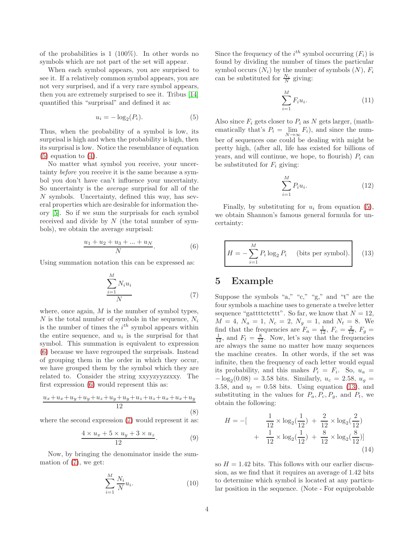of the probabilities is 1 (100%). In other words no symbols which are not part of the set will appear.

When each symbol appears, you are surprised to see it. If a relatively common symbol appears, you are not very surprised, and if a very rare symbol appears, then you are extremely surprised to see it. Tribus [\[14\]](#page-8-1) quantified this "surprisal" and defined it as:

<span id="page-3-0"></span>
$$
u_i = -\log_2(P_i). \tag{5}
$$

Thus, when the probability of a symbol is low, its surprisal is high and when the probability is high, then its surprisal is low. Notice the resemblance of equation  $(5)$  equation to  $(4)$ .

No matter what symbol you receive, your uncertainty before you receive it is the same because a symbol you don't have can't influence your uncertainty. So uncertainty is the average surprisal for all of the N symbols. Uncertainty, defined this way, has several properties which are desirable for information theory [\[5\]](#page-7-1). So if we sum the surprisals for each symbol received and divide by  $N$  (the total number of symbols), we obtain the average surprisal:

<span id="page-3-1"></span>
$$
\frac{u_1 + u_2 + u_3 + \dots + u_N}{N}.\tag{6}
$$

Using summation notation this can be expressed as:

<span id="page-3-2"></span>
$$
\frac{\sum_{i=1}^{M} N_i u_i}{N} \tag{7}
$$

where, once again,  $M$  is the number of symbol types, N is the total number of symbols in the sequence,  $N_i$ is the number of times the  $i^{th}$  symbol appears within the entire sequence, and  $u_i$  is the surprisal for that symbol. This summation is equivalent to expression [\(6\)](#page-3-1) because we have regrouped the surprisals. Instead of grouping them in the order in which they occur, we have grouped them by the symbol which they are related to. Consider the string xxyyzyyzzxxy. The first expression [\(6\)](#page-3-1) would represent this as:

$$
\frac{u_x + u_x + u_y + u_y + u_z + u_y + u_z + u_z + u_x + u_x + u_y}{12}
$$
\n(8)

where the second expression  $(7)$  would represent it as:

$$
\frac{4 \times u_x + 5 \times u_y + 3 \times u_z}{12}.
$$
 (9)

Now, by bringing the denominator inside the summation of [\(7\)](#page-3-2), we get:

$$
\sum_{i=1}^{M} \frac{N_i}{N} u_i.
$$
\n(10)

Since the frequency of the  $i^{th}$  symbol occurring  $(F_i)$  is found by dividing the number of times the particular symbol occurs  $(N_i)$  by the number of symbols  $(N)$ ,  $F_i$ can be substituted for  $\frac{N_i}{N}$  giving:

$$
\sum_{i=1}^{M} F_i u_i.
$$
\n(11)

Also since  $F_i$  gets closer to  $P_i$  as N gets larger, (mathematically that's  $P_i = \lim_{N \to \infty} F_i$ , and since the number of sequences one could be dealing with might be pretty high, (after all, life has existed for billions of years, and will continue, we hope, to flourish)  $P_i$  can be substituted for  $F_i$  giving:

$$
\sum_{i=1}^{M} P_i u_i.
$$
 (12)

Finally, by substituting for  $u_i$  from equation [\(5\)](#page-3-0), we obtain Shannon's famous general formula for uncertainty:

<span id="page-3-3"></span>
$$
H = -\sum_{i=1}^{M} P_i \log_2 P_i \quad \text{(bits per symbol)}.
$$
 (13)

## 5 Example

Suppose the symbols "a," "c," "g," and "t" are the four symbols a machine uses to generate a twelve letter sequence "gattttctcttt". So far, we know that  $N = 12$ ,  $M = 4, N_a = 1, N_c = 2, N_g = 1, \text{ and } N_t = 8.$  We find that the frequencies are  $F_a = \frac{1}{12}$ ,  $F_c = \frac{2}{12}$ ,  $F_g =$  $\frac{1}{12}$ , and  $F_t = \frac{8}{12}$ . Now, let's say that the frequencies are always the same no matter how many sequences the machine creates. In other words, if the set was infinite, then the frequency of each letter would equal its probability, and this makes  $P_i = F_i$ . So,  $u_a$  $-\log_2(0.08) = 3.58$  bits. Similarly,  $u_c = 2.58$ ,  $u_g =$ 3.58, and  $u_t = 0.58$  bits. Using equation [\(13\)](#page-3-3), and substituting in the values for  $P_a, P_c, P_g$ , and  $P_t$ , we obtain the following:

<span id="page-3-4"></span>
$$
H = -[
$$

$$
\frac{1}{12} \times \log_2(\frac{1}{12}) + \frac{2}{12} \times \log_2(\frac{2}{12})
$$

$$
+ \frac{1}{12} \times \log_2(\frac{1}{12}) + \frac{8}{12} \times \log_2(\frac{8}{12})]
$$
(14)

so  $H = 1.42$  bits. This follows with our earlier discussion, as we find that it requires an average of 1.42 bits to determine which symbol is located at any particular position in the sequence. (Note - For equiprobable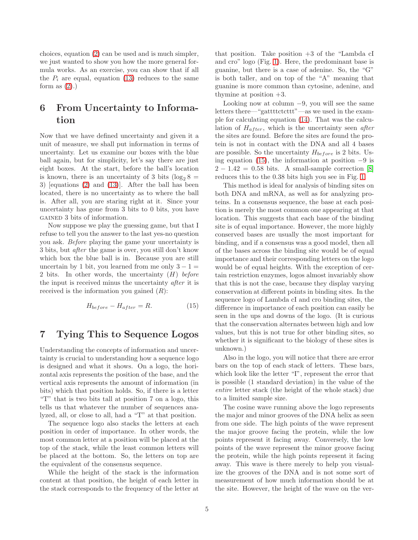choices, equation [\(2\)](#page-2-1) can be used and is much simpler, we just wanted to show you how the more general formula works. As an exercise, you can show that if all the  $P_i$  are equal, equation [\(13\)](#page-3-3) reduces to the same form as  $(2).$ 

# 6 From Uncertainty to Information

Now that we have defined uncertainty and given it a unit of measure, we shall put information in terms of uncertainty. Let us examine our boxes with the blue ball again, but for simplicity, let's say there are just eight boxes. At the start, before the ball's location is known, there is an uncertainty of 3 bits ( $log_2 8$  = 3) [equations [\(2\)](#page-2-1) and [\(13\)](#page-3-3)]. After the ball has been located, there is no uncertainty as to where the ball is. After all, you are staring right at it. Since your uncertainty has gone from 3 bits to 0 bits, you have GAINED 3 bits of information.

Now suppose we play the guessing game, but that I refuse to tell you the answer to the last yes-no question you ask. Before playing the game your uncertainty is 3 bits, but after the game is over, you still don't know which box the blue ball is in. Because you are still uncertain by 1 bit, you learned from me only  $3 - 1 =$ 2 bits. In other words, the uncertainty  $(H)$  before the input is received minus the uncertainty after it is received is the information you gained  $(R)$ :

<span id="page-4-0"></span>
$$
H_{before} - H_{after} = R.
$$
 (15)

## 7 Tying This to Sequence Logos

Understanding the concepts of information and uncertainty is crucial to understanding how a sequence logo is designed and what it shows. On a logo, the horizontal axis represents the position of the base, and the vertical axis represents the amount of information (in bits) which that position holds. So, if there is a letter "T" that is two bits tall at position 7 on a logo, this tells us that whatever the number of sequences analyzed, all, or close to all, had a "T" at that position.

The sequence logo also stacks the letters at each position in order of importance. In other words, the most common letter at a position will be placed at the top of the stack, while the least common letters will be placed at the bottom. So, the letters on top are the equivalent of the consensus sequence.

While the height of the stack is the information content at that position, the height of each letter in the stack corresponds to the frequency of the letter at that position. Take position  $+3$  of the "Lambda cI and cro" logo (Fig. [1\)](#page-1-0). Here, the predominant base is guanine, but there is a case of adenine. So, the "G" is both taller, and on top of the "A" meaning that guanine is more common than cytosine, adenine, and thymine at position +3.

Looking now at column  $-9$ , you will see the same letters there—"gattttctcttt"—as we used in the example for calculating equation [\(14\)](#page-3-4). That was the calculation of  $H_{after}$ , which is the uncertainty seen after the sites are found. Before the sites are found the protein is not in contact with the DNA and all 4 bases are possible. So the uncertainty  $H_{before}$  is 2 bits. Us-ing equation [\(15\)](#page-4-0), the information at position  $-9$  is  $2 - 1.42 = 0.58$  bits. A small-sample correction [\[8\]](#page-7-5) reduces this to the 0.38 bits high you see in Fig. [1.](#page-1-0)

This method is ideal for analysis of binding sites on both DNA and mRNA, as well as for analyzing proteins. In a consensus sequence, the base at each position is merely the most common one appearing at that location. This suggests that each base of the binding site is of equal importance. However, the more highly conserved bases are usually the most important for binding, and if a consensus was a good model, then all of the bases across the binding site would be of equal importance and their corresponding letters on the logo would be of equal heights. With the exception of certain restriction enzymes, logos almost invariably show that this is not the case, because they display varying conservation at different points in binding sites. In the sequence logo of Lambda cI and cro binding sites, the difference in importance of each position can easily be seen in the ups and downs of the logo. (It is curious that the conservation alternates between high and low values, but this is not true for other binding sites, so whether it is significant to the biology of these sites is unknown.)

Also in the logo, you will notice that there are error bars on the top of each stack of letters. These bars, which look like the letter "I", represent the error that is possible (1 standard deviation) in the value of the entire letter stack (the height of the whole stack) due to a limited sample size.

The cosine wave running above the logo represents the major and minor grooves of the DNA helix as seen from one side. The high points of the wave represent the major groove facing the protein, while the low points represent it facing away. Conversely, the low points of the wave represent the minor groove facing the protein, while the high points represent it facing away. This wave is there merely to help you visualize the grooves of the DNA and is not some sort of measurement of how much information should be at the site. However, the height of the wave on the ver-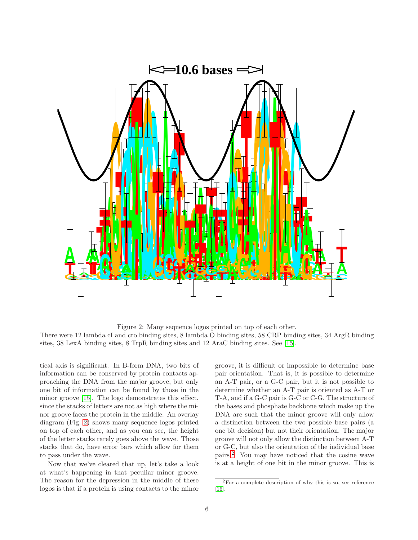

<span id="page-5-0"></span>Figure 2: Many sequence logos printed on top of each other.

There were 12 lambda cI and cro binding sites, 8 lambda O binding sites, 58 CRP binding sites, 34 ArgR binding sites, 38 LexA binding sites, 8 TrpR binding sites and 12 AraC binding sites. See [\[15\]](#page-8-2).

tical axis is significant. In B-form DNA, two bits of information can be conserved by protein contacts approaching the DNA from the major groove, but only one bit of information can be found by those in the minor groove [\[15\]](#page-8-2). The logo demonstrates this effect, since the stacks of letters are not as high where the minor groove faces the protein in the middle. An overlay diagram (Fig. [2\)](#page-5-0) shows many sequence logos printed on top of each other, and as you can see, the height of the letter stacks rarely goes above the wave. Those stacks that do, have error bars which allow for them to pass under the wave.

Now that we've cleared that up, let's take a look at what's happening in that peculiar minor groove. The reason for the depression in the middle of these logos is that if a protein is using contacts to the minor groove, it is difficult or impossible to determine base pair orientation. That is, it is possible to determine an A-T pair, or a G-C pair, but it is not possible to determine whether an A-T pair is oriented as A-T or T-A, and if a G-C pair is G-C or C-G. The structure of the bases and phosphate backbone which make up the DNA are such that the minor groove will only allow a distinction between the two possible base pairs (a one bit decision) but not their orientation. The major groove will not only allow the distinction between A-T or G-C, but also the orientation of the individual base pairs.[2](#page-5-1) You may have noticed that the cosine wave is at a height of one bit in the minor groove. This is

<span id="page-5-1"></span><sup>2</sup>For a complete description of why this is so, see reference [\[16\]](#page-8-3).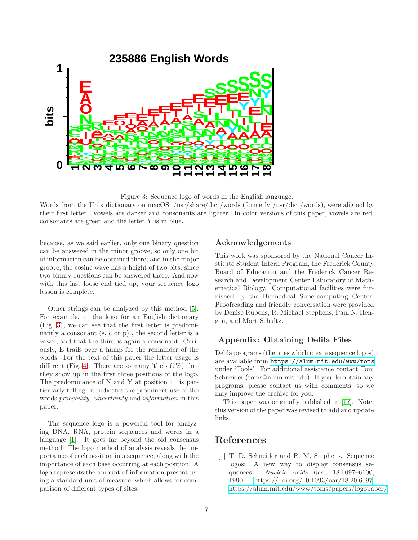

<span id="page-6-1"></span>Figure 3: Sequence logo of words in the English language.

Words from the Unix dictionary on macOS, /usr/share/dict/words (formerly /usr/dict/words), were aligned by their first letter. Vowels are darker and consonants are lighter. In color versions of this paper, vowels are red, consonants are green and the letter Y is in blue.

because, as we said earlier, only one binary question can be answered in the minor groove, so only one bit of information can be obtained there; and in the major groove, the cosine wave has a height of two bits, since two binary questions can be answered there. And now with this last loose end tied up, your sequence logo lesson is complete.

Other strings can be analyzed by this method [\[5\]](#page-7-1). For example, in the logo for an English dictionary (Fig. [3\)](#page-6-1), we can see that the first letter is predominantly a consonant (s, c or p) , the second letter is a vowel, and that the third is again a consonant. Curiously, E trails over a hump for the remainder of the words. For the text of this paper the letter usage is different (Fig. [4\)](#page-7-6). There are so many 'the's (7%) that they show up in the first three positions of the logo. The predominance of N and Y at position 11 is particularly telling: it indicates the prominent use of the words probability, uncertainty and information in this paper.

The sequence logo is a powerful tool for analyzing DNA, RNA, protein sequences and words in a language [\[1\]](#page-6-0). It goes far beyond the old consensus method. The logo method of analysis reveals the importance of each position in a sequence, along with the importance of each base occurring at each position. A logo represents the amount of information present using a standard unit of measure, which allows for comparison of different types of sites.

#### Acknowledgements

This work was sponsored by the National Cancer Institute Student Intern Program, the Frederick County Board of Education and the Frederick Cancer Research and Development Center Laboratory of Mathematical Biology. Computational facilities were furnished by the Biomedical Supercomputing Center. Proofreading and friendly conversation were provided by Denise Rubens, R. Michael Stephens, Paul N. Hengen, and Mort Schultz.

#### Appendix: Obtaining Delila Files

Delila programs (the ones which create sequence logos) are available from <https://alum.mit.edu/www/toms> under 'Tools'. For additional assistance contact Tom Schneider (toms@alum.mit.edu). If you do obtain any programs, please contact us with comments, so we may improve the archive for you.

This paper was originally published in [\[17\]](#page-8-4). Note: this version of the paper was revised to add and update links.

## <span id="page-6-0"></span>References

[1] T. D. Schneider and R. M. Stephens. Sequence logos: A new way to display consensus sequences. Nucleic Acids Res., 18:6097-6100, 1990. [https://doi.org/10.1093/nar/18.20.6097,](https://doi.org/10.1093/nar/18.20.6097) [https://alum.mit.edu/www/toms/papers/logopaper/.](https://alum.mit.edu/www/toms/papers/logopaper/)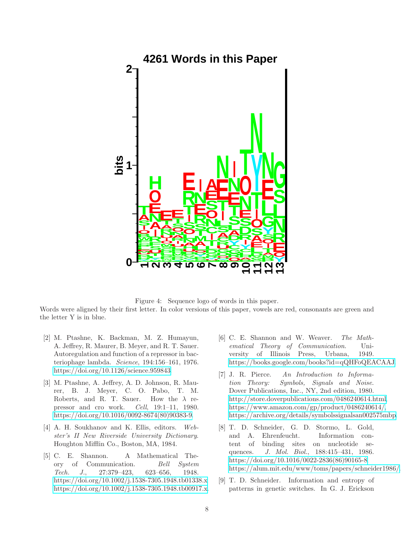

<span id="page-7-6"></span>Figure 4: Sequence logo of words in this paper.

Words were aligned by their first letter. In color versions of this paper, vowels are red, consonants are green and the letter Y is in blue.

- <span id="page-7-3"></span>[2] M. Ptashne, K. Backman, M. Z. Humayun, A. Jeffrey, R. Maurer, B. Meyer, and R. T. Sauer. Autoregulation and function of a repressor in bacteriophage lambda. Science, 194:156–161, 1976. [https://doi.org/10.1126/science.959843.](https://doi.org/10.1126/science.959843)
- <span id="page-7-4"></span>[3] M. Ptashne, A. Jeffrey, A. D. Johnson, R. Maurer, B. J. Meyer, C. O. Pabo, T. M. Roberts, and R. T. Sauer. How the  $\lambda$  repressor and cro work. Cell, 19:1–11, 1980. [https://doi.org/10.1016/0092-8674\(80\)90383-9.](https://doi.org/10.1016/0092-8674(80)90383-9)
- <span id="page-7-0"></span>[4] A. H. Soukhanov and K. Ellis, editors. Webster's II New Riverside University Dictionary. Houghton Mifflin Co., Boston, MA, 1984.
- <span id="page-7-1"></span>[5] C. E. Shannon. A Mathematical Theory of Communication. Bell System Tech. J., 27:379–423, 623–656, 1948. <https://doi.org/10.1002/j.1538-7305.1948.tb01338.x> [https://doi.org/10.1002/j.1538-7305.1948.tb00917.x.](https://doi.org/10.1002/j.1538-7305.1948.tb00917.x)
- [6] C. E. Shannon and W. Weaver. The Mathematical Theory of Communication. University of Illinois Press, Urbana, 1949. [https://books.google.com/books?id=qQHFoQEACAAJ.](https://books.google.com/books?id=qQHFoQEACAAJ)
- <span id="page-7-2"></span>[7] J. R. Pierce. An Introduction to Information Theory: Symbols, Signals and Noise. Dover Publications, Inc., NY, 2nd edition, 1980. [http://store.doverpublications.com/0486240614.html,](http://store.doverpublications.com/0486240614.html) [https://www.amazon.com/gp/product/0486240614/,](https://www.amazon.com/gp/product/0486240614/) [https://archive.org/details/symbolssignalsan002575mbp.](https://archive.org/details/symbolssignalsan002575mbp)
- <span id="page-7-5"></span>[8] T. D. Schneider, G. D. Stormo, L. Gold, and A. Ehrenfeucht. Information content of binding sites on nucleotide sequences. *J. Mol. Biol.*, 188:415-431, 1986. [https://doi.org/10.1016/0022-2836\(86\)90165-8,](https://doi.org/10.1016/0022-2836(86)90165-8) [https://alum.mit.edu/www/toms/papers/schneider1986/.](https://alum.mit.edu/www/toms/papers/schneider1986/)
- [9] T. D. Schneider. Information and entropy of patterns in genetic switches. In G. J. Erickson